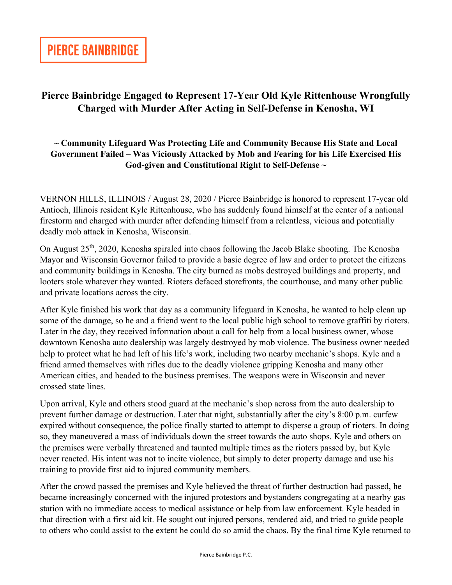## **Pierce Bainbridge Engaged to Represent 17-Year Old Kyle Rittenhouse Wrongfully Charged with Murder After Acting in Self-Defense in Kenosha, WI**

## **~ Community Lifeguard Was Protecting Life and Community Because His State and Local Government Failed – Was Viciously Attacked by Mob and Fearing for his Life Exercised His God-given and Constitutional Right to Self-Defense ~**

VERNON HILLS, ILLINOIS / August 28, 2020 / Pierce Bainbridge is honored to represent 17-year old Antioch, Illinois resident Kyle Rittenhouse, who has suddenly found himself at the center of a national firestorm and charged with murder after defending himself from a relentless, vicious and potentially deadly mob attack in Kenosha, Wisconsin.

On August 25th, 2020, Kenosha spiraled into chaos following the Jacob Blake shooting. The Kenosha Mayor and Wisconsin Governor failed to provide a basic degree of law and order to protect the citizens and community buildings in Kenosha. The city burned as mobs destroyed buildings and property, and looters stole whatever they wanted. Rioters defaced storefronts, the courthouse, and many other public and private locations across the city.

After Kyle finished his work that day as a community lifeguard in Kenosha, he wanted to help clean up some of the damage, so he and a friend went to the local public high school to remove graffiti by rioters. Later in the day, they received information about a call for help from a local business owner, whose downtown Kenosha auto dealership was largely destroyed by mob violence. The business owner needed help to protect what he had left of his life's work, including two nearby mechanic's shops. Kyle and a friend armed themselves with rifles due to the deadly violence gripping Kenosha and many other American cities, and headed to the business premises. The weapons were in Wisconsin and never crossed state lines.

Upon arrival, Kyle and others stood guard at the mechanic's shop across from the auto dealership to prevent further damage or destruction. Later that night, substantially after the city's 8:00 p.m. curfew expired without consequence, the police finally started to attempt to disperse a group of rioters. In doing so, they maneuvered a mass of individuals down the street towards the auto shops. Kyle and others on the premises were verbally threatened and taunted multiple times as the rioters passed by, but Kyle never reacted. His intent was not to incite violence, but simply to deter property damage and use his training to provide first aid to injured community members.

After the crowd passed the premises and Kyle believed the threat of further destruction had passed, he became increasingly concerned with the injured protestors and bystanders congregating at a nearby gas station with no immediate access to medical assistance or help from law enforcement. Kyle headed in that direction with a first aid kit. He sought out injured persons, rendered aid, and tried to guide people to others who could assist to the extent he could do so amid the chaos. By the final time Kyle returned to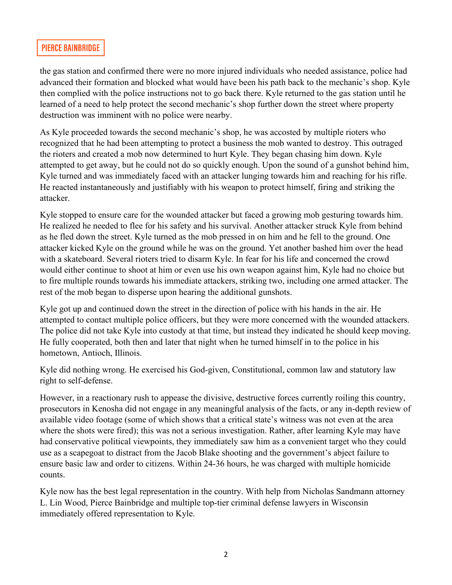## **PIERCE BAINBRIDGE**

the gas station and confirmed there were no more injured individuals who needed assistance, police had advanced their formation and blocked what would have been his path back to the mechanic's shop. Kyle then complied with the police instructions not to go back there. Kyle returned to the gas station until he learned of a need to help protect the second mechanic's shop further down the street where property destruction was imminent with no police were nearby.

As Kyle proceeded towards the second mechanic's shop, he was accosted by multiple rioters who recognized that he had been attempting to protect a business the mob wanted to destroy. This outraged the rioters and created a mob now determined to hurt Kyle. They began chasing him down. Kyle attempted to get away, but he could not do so quickly enough. Upon the sound of a gunshot behind him, Kyle turned and was immediately faced with an attacker lunging towards him and reaching for his rifle. He reacted instantaneously and justifiably with his weapon to protect himself, firing and striking the attacker.

Kyle stopped to ensure care for the wounded attacker but faced a growing mob gesturing towards him. He realized he needed to flee for his safety and his survival. Another attacker struck Kyle from behind as he fled down the street. Kyle turned as the mob pressed in on him and he fell to the ground. One attacker kicked Kyle on the ground while he was on the ground. Yet another bashed him over the head with a skateboard. Several rioters tried to disarm Kyle. In fear for his life and concerned the crowd would either continue to shoot at him or even use his own weapon against him, Kyle had no choice but to fire multiple rounds towards his immediate attackers, striking two, including one armed attacker. The rest of the mob began to disperse upon hearing the additional gunshots.

Kyle got up and continued down the street in the direction of police with his hands in the air. He attempted to contact multiple police officers, but they were more concerned with the wounded attackers. The police did not take Kyle into custody at that time, but instead they indicated he should keep moving. He fully cooperated, both then and later that night when he turned himself in to the police in his hometown, Antioch, Illinois.

Kyle did nothing wrong. He exercised his God-given, Constitutional, common law and statutory law right to self-defense.

However, in a reactionary rush to appease the divisive, destructive forces currently roiling this country, prosecutors in Kenosha did not engage in any meaningful analysis of the facts, or any in-depth review of available video footage (some of which shows that a critical state's witness was not even at the area where the shots were fired); this was not a serious investigation. Rather, after learning Kyle may have had conservative political viewpoints, they immediately saw him as a convenient target who they could use as a scapegoat to distract from the Jacob Blake shooting and the government's abject failure to ensure basic law and order to citizens. Within 24-36 hours, he was charged with multiple homicide counts.

Kyle now has the best legal representation in the country. With help from Nicholas Sandmann attorney L. Lin Wood, Pierce Bainbridge and multiple top-tier criminal defense lawyers in Wisconsin immediately offered representation to Kyle.